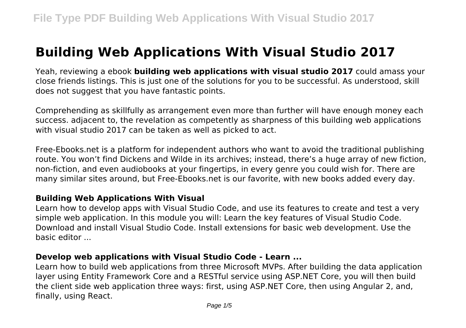# **Building Web Applications With Visual Studio 2017**

Yeah, reviewing a ebook **building web applications with visual studio 2017** could amass your close friends listings. This is just one of the solutions for you to be successful. As understood, skill does not suggest that you have fantastic points.

Comprehending as skillfully as arrangement even more than further will have enough money each success. adjacent to, the revelation as competently as sharpness of this building web applications with visual studio 2017 can be taken as well as picked to act.

Free-Ebooks.net is a platform for independent authors who want to avoid the traditional publishing route. You won't find Dickens and Wilde in its archives; instead, there's a huge array of new fiction, non-fiction, and even audiobooks at your fingertips, in every genre you could wish for. There are many similar sites around, but Free-Ebooks.net is our favorite, with new books added every day.

### **Building Web Applications With Visual**

Learn how to develop apps with Visual Studio Code, and use its features to create and test a very simple web application. In this module you will: Learn the key features of Visual Studio Code. Download and install Visual Studio Code. Install extensions for basic web development. Use the basic editor ...

### **Develop web applications with Visual Studio Code - Learn ...**

Learn how to build web applications from three Microsoft MVPs. After building the data application layer using Entity Framework Core and a RESTful service using ASP.NET Core, you will then build the client side web application three ways: first, using ASP.NET Core, then using Angular 2, and, finally, using React.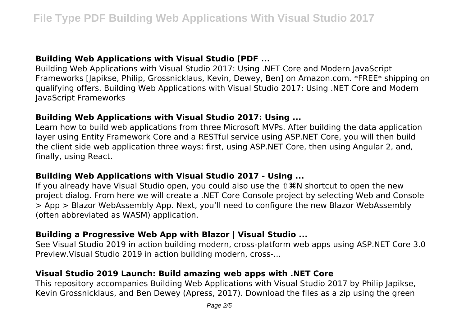## **Building Web Applications with Visual Studio [PDF ...**

Building Web Applications with Visual Studio 2017: Using .NET Core and Modern JavaScript Frameworks [Japikse, Philip, Grossnicklaus, Kevin, Dewey, Ben] on Amazon.com. \*FREE\* shipping on qualifying offers. Building Web Applications with Visual Studio 2017: Using .NET Core and Modern JavaScript Frameworks

### **Building Web Applications with Visual Studio 2017: Using ...**

Learn how to build web applications from three Microsoft MVPs. After building the data application layer using Entity Framework Core and a RESTful service using ASP.NET Core, you will then build the client side web application three ways: first, using ASP.NET Core, then using Angular 2, and, finally, using React.

#### **Building Web Applications with Visual Studio 2017 - Using ...**

If you already have Visual Studio open, you could also use the ⇧⌘N shortcut to open the new project dialog. From here we will create a .NET Core Console project by selecting Web and Console > App > Blazor WebAssembly App. Next, you'll need to configure the new Blazor WebAssembly (often abbreviated as WASM) application.

### **Building a Progressive Web App with Blazor | Visual Studio ...**

See Visual Studio 2019 in action building modern, cross-platform web apps using ASP.NET Core 3.0 Preview.Visual Studio 2019 in action building modern, cross-...

### **Visual Studio 2019 Launch: Build amazing web apps with .NET Core**

This repository accompanies Building Web Applications with Visual Studio 2017 by Philip Japikse, Kevin Grossnicklaus, and Ben Dewey (Apress, 2017). Download the files as a zip using the green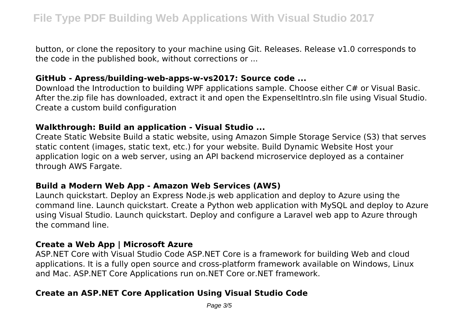button, or clone the repository to your machine using Git. Releases. Release v1.0 corresponds to the code in the published book, without corrections or ...

#### **GitHub - Apress/building-web-apps-w-vs2017: Source code ...**

Download the Introduction to building WPF applications sample. Choose either C# or Visual Basic. After the.zip file has downloaded, extract it and open the ExpenseItIntro.sln file using Visual Studio. Create a custom build configuration

#### **Walkthrough: Build an application - Visual Studio ...**

Create Static Website Build a static website, using Amazon Simple Storage Service (S3) that serves static content (images, static text, etc.) for your website. Build Dynamic Website Host your application logic on a web server, using an API backend microservice deployed as a container through AWS Fargate.

### **Build a Modern Web App - Amazon Web Services (AWS)**

Launch quickstart. Deploy an Express Node.js web application and deploy to Azure using the command line. Launch quickstart. Create a Python web application with MySQL and deploy to Azure using Visual Studio. Launch quickstart. Deploy and configure a Laravel web app to Azure through the command line.

### **Create a Web App | Microsoft Azure**

ASP.NET Core with Visual Studio Code ASP.NET Core is a framework for building Web and cloud applications. It is a fully open source and cross-platform framework available on Windows, Linux and Mac. ASP.NET Core Applications run on.NET Core or.NET framework.

# **Create an ASP.NET Core Application Using Visual Studio Code**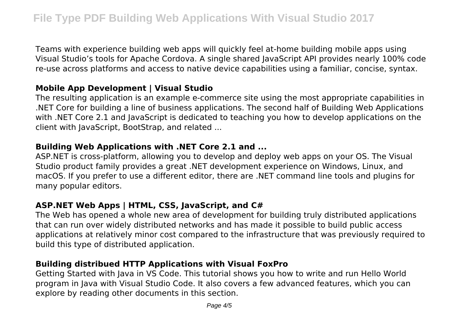Teams with experience building web apps will quickly feel at-home building mobile apps using Visual Studio's tools for Apache Cordova. A single shared JavaScript API provides nearly 100% code re-use across platforms and access to native device capabilities using a familiar, concise, syntax.

## **Mobile App Development | Visual Studio**

The resulting application is an example e-commerce site using the most appropriate capabilities in .NET Core for building a line of business applications. The second half of Building Web Applications with .NET Core 2.1 and JavaScript is dedicated to teaching you how to develop applications on the client with JavaScript, BootStrap, and related ...

## **Building Web Applications with .NET Core 2.1 and ...**

ASP.NET is cross-platform, allowing you to develop and deploy web apps on your OS. The Visual Studio product family provides a great .NET development experience on Windows, Linux, and macOS. If you prefer to use a different editor, there are .NET command line tools and plugins for many popular editors.

# **ASP.NET Web Apps | HTML, CSS, JavaScript, and C#**

The Web has opened a whole new area of development for building truly distributed applications that can run over widely distributed networks and has made it possible to build public access applications at relatively minor cost compared to the infrastructure that was previously required to build this type of distributed application.

# **Building distribued HTTP Applications with Visual FoxPro**

Getting Started with Java in VS Code. This tutorial shows you how to write and run Hello World program in Java with Visual Studio Code. It also covers a few advanced features, which you can explore by reading other documents in this section.